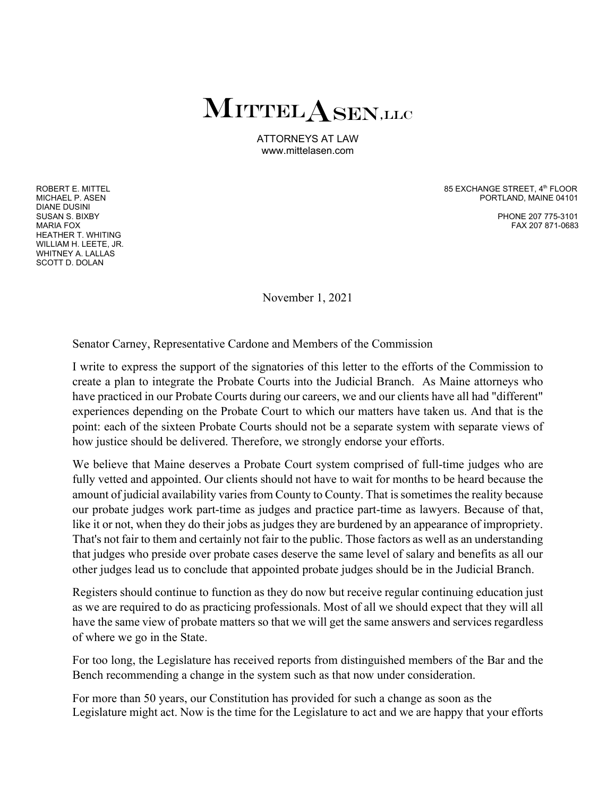## MITTEL A SEN,LLC

ATTORNEYS AT LAW www.mittelasen.com

DIANE DUSINI SUSAN S. BIXBY PHONE 207 775-3101 HEATHER T. WHITING WILLIAM H. LEETE, JR. WHITNEY A. LALLAS SCOTT D. DOLAN

ROBERT E. MITTEL<br>MICHAFI PASEN PORTLAND, MAINE 04101

FAX 207 871-0683

November 1, 2021

Senator Carney, Representative Cardone and Members of the Commission

I write to express the support of the signatories of this letter to the efforts of the Commission to create a plan to integrate the Probate Courts into the Judicial Branch. As Maine attorneys who have practiced in our Probate Courts during our careers, we and our clients have all had "different" experiences depending on the Probate Court to which our matters have taken us. And that is the point: each of the sixteen Probate Courts should not be a separate system with separate views of how justice should be delivered. Therefore, we strongly endorse your efforts.

We believe that Maine deserves a Probate Court system comprised of full-time judges who are fully vetted and appointed. Our clients should not have to wait for months to be heard because the amount of judicial availability varies from County to County. That is sometimes the reality because our probate judges work part-time as judges and practice part-time as lawyers. Because of that, like it or not, when they do their jobs as judges they are burdened by an appearance of impropriety. That's not fair to them and certainly not fair to the public. Those factors as well as an understanding that judges who preside over probate cases deserve the same level of salary and benefits as all our other judges lead us to conclude that appointed probate judges should be in the Judicial Branch.

Registers should continue to function as they do now but receive regular continuing education just as we are required to do as practicing professionals. Most of all we should expect that they will all have the same view of probate matters so that we will get the same answers and services regardless of where we go in the State.

For too long, the Legislature has received reports from distinguished members of the Bar and the Bench recommending a change in the system such as that now under consideration.

For more than 50 years, our Constitution has provided for such a change as soon as the Legislature might act. Now is the time for the Legislature to act and we are happy that your efforts